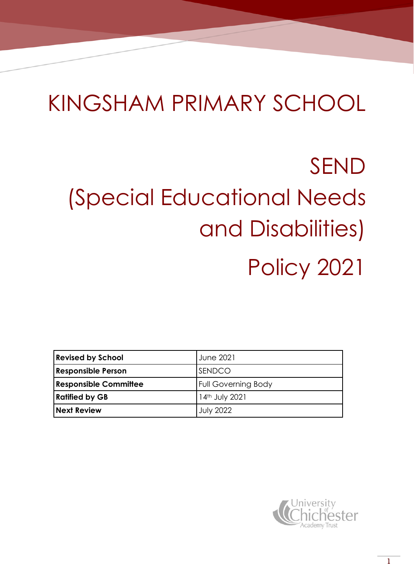## KINGSHAM PRIMARY SCHOOL

# SEND (Special Educational Needs and Disabilities) Policy 2021

| <b>Revised by School</b>     | <b>June 2021</b>           |
|------------------------------|----------------------------|
| <b>Responsible Person</b>    | <b>SENDCO</b>              |
| <b>Responsible Committee</b> | <b>Full Governing Body</b> |
| <b>Ratified by GB</b>        | 14th July 2021             |
| <b>Next Review</b>           | <b>July 2022</b>           |

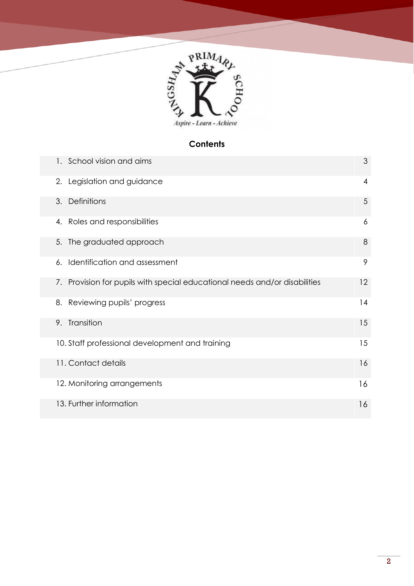

### **Contents**

|    | 1. School vision and aims                                               | 3  |
|----|-------------------------------------------------------------------------|----|
|    | 2. Legislation and guidance                                             | 4  |
| 3. | Definitions                                                             | 5  |
|    | 4. Roles and responsibilities                                           | 6  |
|    | 5. The graduated approach                                               | 8  |
| 6. | Identification and assessment                                           | 9  |
| 7. | Provision for pupils with special educational needs and/or disabilities | 12 |
| 8. | Reviewing pupils' progress                                              | 14 |
| 9. | Transition                                                              | 15 |
|    | 10. Staff professional development and training                         | 15 |
|    | 11. Contact details                                                     | 16 |
|    | 12. Monitoring arrangements                                             | 16 |
|    | 13. Further information                                                 | 16 |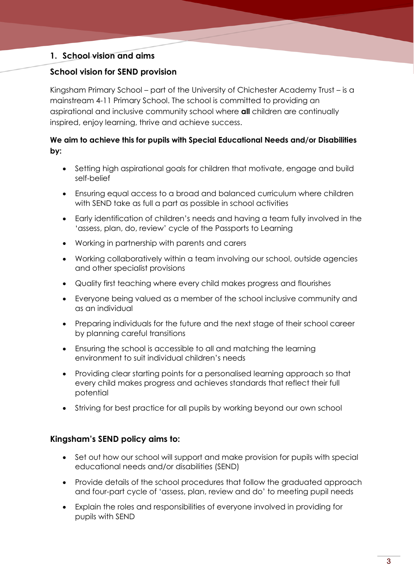#### **1. School vision and aims**

#### **School vision for SEND provision**

Kingsham Primary School – part of the University of Chichester Academy Trust – is a mainstream 4-11 Primary School. The school is committed to providing an aspirational and inclusive community school where **all** children are continually inspired, enjoy learning, thrive and achieve success.

#### **We aim to achieve this for pupils with Special Educational Needs and/or Disabilities by:**

- Setting high aspirational goals for children that motivate, engage and build self-belief
- Ensuring equal access to a broad and balanced curriculum where children with SEND take as full a part as possible in school activities
- Early identification of children's needs and having a team fully involved in the 'assess, plan, do, review' cycle of the Passports to Learning
- Working in partnership with parents and carers
- Working collaboratively within a team involving our school, outside agencies and other specialist provisions
- Quality first teaching where every child makes progress and flourishes
- Everyone being valued as a member of the school inclusive community and as an individual
- Preparing individuals for the future and the next stage of their school career by planning careful transitions
- Ensuring the school is accessible to all and matching the learning environment to suit individual children's needs
- Providing clear starting points for a personalised learning approach so that every child makes progress and achieves standards that reflect their full potential
- Striving for best practice for all pupils by working beyond our own school

#### **Kingsham's SEND policy aims to:**

- Set out how our school will support and make provision for pupils with special educational needs and/or disabilities (SEND)
- Provide details of the school procedures that follow the graduated approach and four-part cycle of 'assess, plan, review and do' to meeting pupil needs
- Explain the roles and responsibilities of everyone involved in providing for pupils with SEND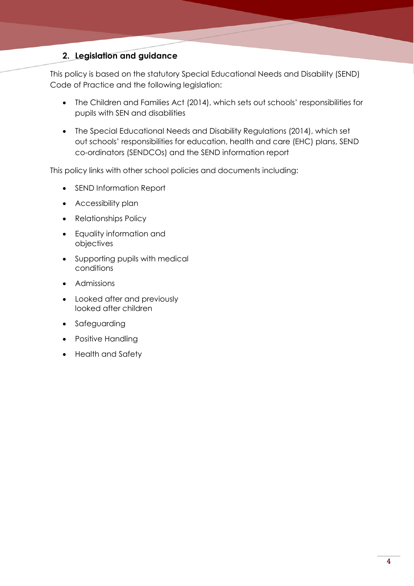#### **2. Legislation and guidance**

This policy is based on the statutory Special Educational Needs and Disability (SEND) Code of Practice and the following legislation:

- The Children and Families Act (2014), which sets out schools' responsibilities for pupils with SEN and disabilities
- The Special Educational Needs and Disability Regulations (2014), which set out schools' responsibilities for education, health and care (EHC) plans, SEND co-ordinators (SENDCOs) and the SEND information report

This policy links with other school policies and documents including:

- SEND Information Report
- Accessibility plan
- Relationships Policy
- Equality information and objectives
- Supporting pupils with medical conditions
- Admissions
- Looked after and previously looked after children
- Safeguarding
- Positive Handling
- Health and Safety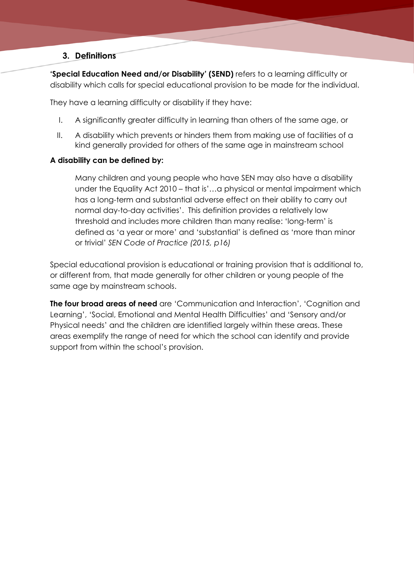#### **3. Definitions**

**'Special Education Need and/or Disability' (SEND)** refers to a learning difficulty or disability which calls for special educational provision to be made for the individual.

They have a learning difficulty or disability if they have:

- I. A significantly greater difficulty in learning than others of the same age, or
- II. A disability which prevents or hinders them from making use of facilities of a kind generally provided for others of the same age in mainstream school

#### **A disability can be defined by:**

Many children and young people who have SEN may also have a disability under the Equality Act 2010 – that is'…a physical or mental impairment which has a long-term and substantial adverse effect on their ability to carry out normal day-to-day activities'. This definition provides a relatively low threshold and includes more children than many realise: 'long-term' is defined as 'a year or more' and 'substantial' is defined as 'more than minor or trivial' *SEN Code of Practice (2015, p16)*

Special educational provision is educational or training provision that is additional to, or different from, that made generally for other children or young people of the same age by mainstream schools.

**The four broad areas of need** are 'Communication and Interaction', 'Cognition and Learning', 'Social, Emotional and Mental Health Difficulties' and 'Sensory and/or Physical needs' and the children are identified largely within these areas. These areas exemplify the range of need for which the school can identify and provide support from within the school's provision.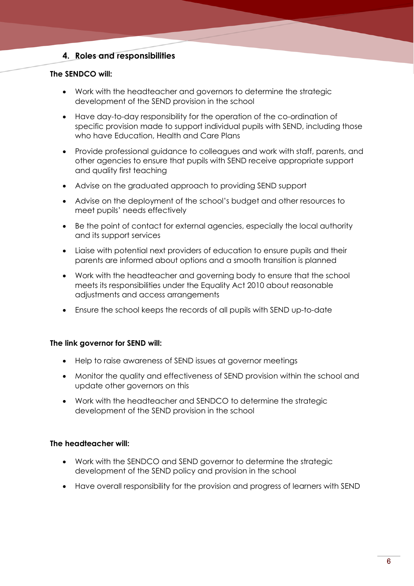#### **4. Roles and responsibilities**

#### **The SENDCO will:**

- Work with the headteacher and governors to determine the strategic development of the SEND provision in the school
- Have day-to-day responsibility for the operation of the co-ordination of specific provision made to support individual pupils with SEND, including those who have Education, Health and Care Plans
- Provide professional guidance to colleagues and work with staff, parents, and other agencies to ensure that pupils with SEND receive appropriate support and quality first teaching
- Advise on the graduated approach to providing SEND support
- Advise on the deployment of the school's budget and other resources to meet pupils' needs effectively
- Be the point of contact for external agencies, especially the local authority and its support services
- Liaise with potential next providers of education to ensure pupils and their parents are informed about options and a smooth transition is planned
- Work with the headteacher and governing body to ensure that the school meets its responsibilities under the Equality Act 2010 about reasonable adjustments and access arrangements
- Ensure the school keeps the records of all pupils with SEND up-to-date

#### **The link governor for SEND will:**

- Help to raise awareness of SEND issues at governor meetings
- Monitor the quality and effectiveness of SEND provision within the school and update other governors on this
- Work with the headteacher and SENDCO to determine the strategic development of the SEND provision in the school

#### **The headteacher will:**

- Work with the SENDCO and SEND governor to determine the strategic development of the SEND policy and provision in the school
- Have overall responsibility for the provision and progress of learners with SEND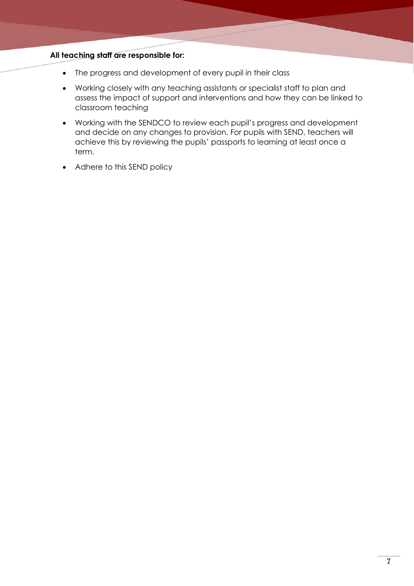#### **All teaching staff are responsible for:**

- The progress and development of every pupil in their class
- Working closely with any teaching assistants or specialist staff to plan and assess the impact of support and interventions and how they can be linked to classroom teaching
- Working with the SENDCO to review each pupil's progress and development and decide on any changes to provision. For pupils with SEND, teachers will achieve this by reviewing the pupils' passports to learning at least once a term.
- Adhere to this SEND policy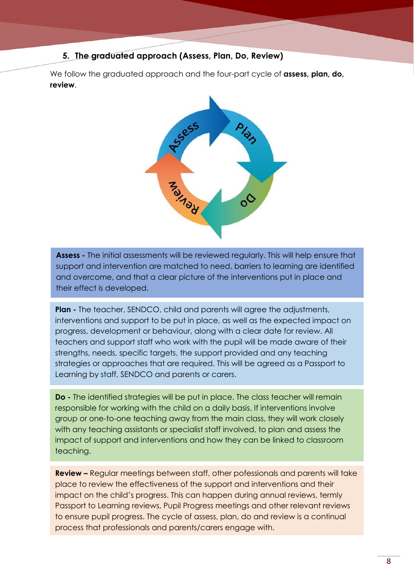#### **5. The graduated approach (Assess, Plan, Do, Review)**

We follow the graduated approach and the four-part cycle of **assess, plan, do, review**.



**Assess -** The initial assessments will be reviewed regularly. This will help ensure that support and intervention are matched to need, barriers to learning are identified and overcome, and that a clear picture of the interventions put in place and their effect is developed.

**Plan -** The teacher, SENDCO, child and parents will agree the adjustments, interventions and support to be put in place, as well as the expected impact on progress, development or behaviour, along with a clear date for review. All teachers and support staff who work with the pupil will be made aware of their strengths, needs, specific targets, the support provided and any teaching strategies or approaches that are required. This will be agreed as a Passport to Learning by staff, SENDCO and parents or carers.

**Do -** The identified strategies will be put in place. The class teacher will remain responsible for working with the child on a daily basis. If interventions involve group or one-to-one teaching away from the main class, they will work closely with any teaching assistants or specialist staff involved, to plan and assess the impact of support and interventions and how they can be linked to classroom teaching.

**Review –** Regular meetings between staff, other pofessionals and parents will take place to review the effectiveness of the support and interventions and their impact on the child's progress. This can happen during annual reviews, termly Passport to Learning reviews, Pupil Progress meetings and other relevant reviews to ensure pupil progress. The cycle of assess, plan, do and review is a continual process that professionals and parents/carers engage with.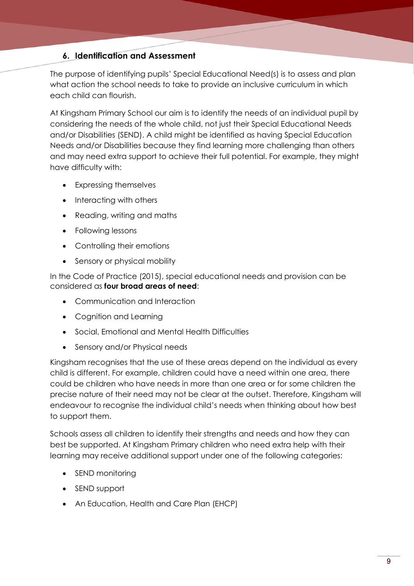#### **6. Identification and Assessment**

The purpose of identifying pupils' Special Educational Need(s) is to assess and plan what action the school needs to take to provide an inclusive curriculum in which each child can flourish.

At Kingsham Primary School our aim is to identify the needs of an individual pupil by considering the needs of the whole child, not just their Special Educational Needs and/or Disabilities (SEND). A child might be identified as having Special Education Needs and/or Disabilities because they find learning more challenging than others and may need extra support to achieve their full potential. For example, they might have difficulty with:

- Expressing themselves
- Interacting with others
- Reading, writing and maths
- Following lessons
- Controlling their emotions
- Sensory or physical mobility

In the Code of Practice (2015), special educational needs and provision can be considered as **four broad areas of need**:

- Communication and Interaction
- Cognition and Learning
- Social, Emotional and Mental Health Difficulties
- Sensory and/or Physical needs

Kingsham recognises that the use of these areas depend on the individual as every child is different. For example, children could have a need within one area, there could be children who have needs in more than one area or for some children the precise nature of their need may not be clear at the outset. Therefore, Kingsham will endeavour to recognise the individual child's needs when thinking about how best to support them.

Schools assess all children to identify their strengths and needs and how they can best be supported. At Kingsham Primary children who need extra help with their learning may receive additional support under one of the following categories:

- SEND monitoring
- SEND support
- An Education, Health and Care Plan (EHCP)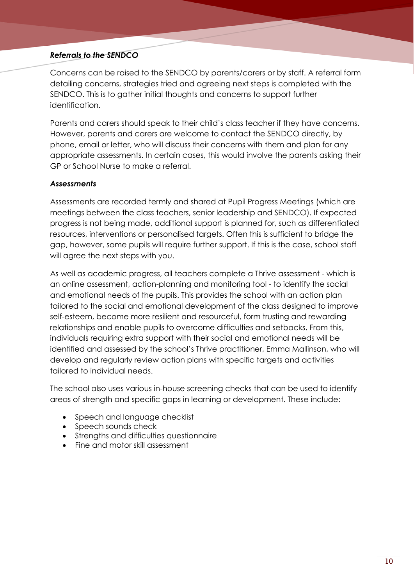#### *Referrals to the SENDCO*

Concerns can be raised to the SENDCO by parents/carers or by staff. A referral form detailing concerns, strategies tried and agreeing next steps is completed with the SENDCO. This is to gather initial thoughts and concerns to support further identification.

Parents and carers should speak to their child's class teacher if they have concerns. However, parents and carers are welcome to contact the SENDCO directly, by phone, email or letter, who will discuss their concerns with them and plan for any appropriate assessments. In certain cases, this would involve the parents asking their GP or School Nurse to make a referral.

#### *Assessments*

Assessments are recorded termly and shared at Pupil Progress Meetings (which are meetings between the class teachers, senior leadership and SENDCO). If expected progress is not being made, additional support is planned for, such as differentiated resources, interventions or personalised targets. Often this is sufficient to bridge the gap, however, some pupils will require further support. If this is the case, school staff will agree the next steps with you.

As well as academic progress, all teachers complete a Thrive assessment - which is an online assessment, action-planning and monitoring tool - to identify the social and emotional needs of the pupils. This provides the school with an action plan tailored to the social and emotional development of the class designed to improve self-esteem, become more resilient and resourceful, form trusting and rewarding relationships and enable pupils to overcome difficulties and setbacks. From this, individuals requiring extra support with their social and emotional needs will be identified and assessed by the school's Thrive practitioner, Emma Mallinson, who will develop and regularly review action plans with specific targets and activities tailored to individual needs.

The school also uses various in-house screening checks that can be used to identify areas of strength and specific gaps in learning or development. These include:

- Speech and language checklist
- Speech sounds check
- Strengths and difficulties questionnaire
- Fine and motor skill assessment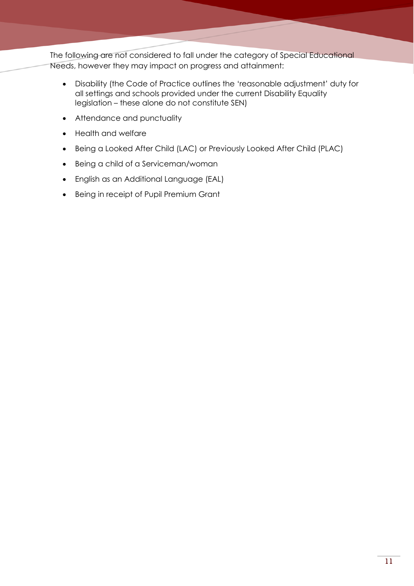The following are not considered to fall under the category of Special Educational Needs, however they may impact on progress and attainment:

- Disability (the Code of Practice outlines the 'reasonable adjustment' duty for all settings and schools provided under the current Disability Equality legislation – these alone do not constitute SEN)
- Attendance and punctuality
- Health and welfare
- Being a Looked After Child (LAC) or Previously Looked After Child (PLAC)
- Being a child of a Serviceman/woman
- English as an Additional Language (EAL)
- Being in receipt of Pupil Premium Grant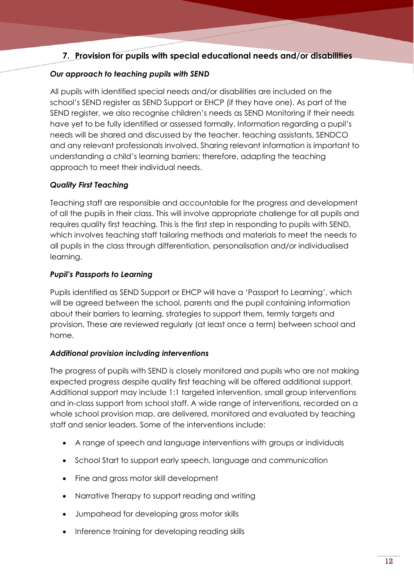#### **7. Provision for pupils with special educational needs and/or disabilities**

#### *Our approach to teaching pupils with SEND*

All pupils with identified special needs and/or disabilities are included on the school's SEND register as SEND Support or EHCP (if they have one). As part of the SEND register, we also recognise children's needs as SEND Monitoring if their needs have yet to be fully identified or assessed formally. Information regarding a pupil's needs will be shared and discussed by the teacher, teaching assistants, SENDCO and any relevant professionals involved. Sharing relevant information is important to understanding a child's learning barriers; therefore, adapting the teaching approach to meet their individual needs.

#### *Quality First Teaching*

Teaching staff are responsible and accountable for the progress and development of all the pupils in their class. This will involve appropriate challenge for all pupils and requires quality first teaching. This is the first step in responding to pupils with SEND, which involves teaching staff tailoring methods and materials to meet the needs to all pupils in the class through differentiation, personalisation and/or individualised learning.

#### *Pupil's Passports to Learning*

Pupils identified as SEND Support or EHCP will have a 'Passport to Learning', which will be agreed between the school, parents and the pupil containing information about their barriers to learning, strategies to support them, termly targets and provision. These are reviewed regularly (at least once a term) between school and home.

#### *Additional provision including interventions*

The progress of pupils with SEND is closely monitored and pupils who are not making expected progress despite quality first teaching will be offered additional support. Additional support may include 1:1 targeted intervention, small group interventions and in-class support from school staff. A wide range of interventions, recorded on a whole school provision map, are delivered, monitored and evaluated by teaching staff and senior leaders. Some of the interventions include:

- A range of speech and language interventions with groups or individuals
- School Start to support early speech, language and communication
- Fine and gross motor skill development
- Narrative Therapy to support reading and writing
- Jumpahead for developing gross motor skills
- Inference training for developing reading skills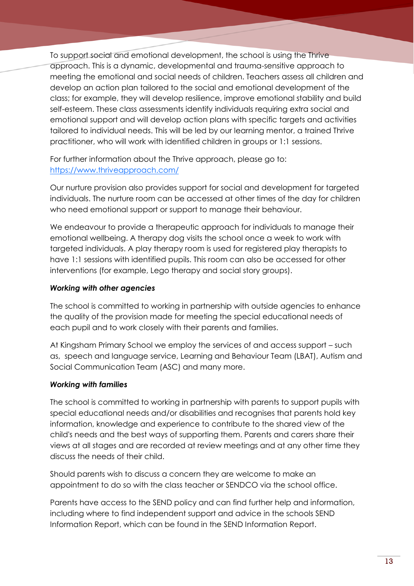To support social and emotional development, the school is using the Thrive approach. This is a dynamic, developmental and trauma-sensitive approach to meeting the emotional and social needs of children. Teachers assess all children and develop an action plan tailored to the social and emotional development of the class; for example, they will develop resilience, improve emotional stability and build self-esteem. These class assessments identify individuals requiring extra social and emotional support and will develop action plans with specific targets and activities tailored to individual needs. This will be led by our learning mentor, a trained Thrive practitioner, who will work with identified children in groups or 1:1 sessions.

For further information about the Thrive approach, please go to: <https://www.thriveapproach.com/>

Our nurture provision also provides support for social and development for targeted individuals. The nurture room can be accessed at other times of the day for children who need emotional support or support to manage their behaviour.

We endeavour to provide a therapeutic approach for individuals to manage their emotional wellbeing. A therapy dog visits the school once a week to work with targeted individuals. A play therapy room is used for registered play therapists to have 1:1 sessions with identified pupils. This room can also be accessed for other interventions (for example, Lego therapy and social story groups).

#### *Working with other agencies*

The school is committed to working in partnership with outside agencies to enhance the quality of the provision made for meeting the special educational needs of each pupil and to work closely with their parents and families.

At Kingsham Primary School we employ the services of and access support – such as, speech and language service, Learning and Behaviour Team (LBAT), Autism and Social Communication Team (ASC) and many more.

#### *Working with families*

The school is committed to working in partnership with parents to support pupils with special educational needs and/or disabilities and recognises that parents hold key information, knowledge and experience to contribute to the shared view of the child's needs and the best ways of supporting them. Parents and carers share their views at all stages and are recorded at review meetings and at any other time they discuss the needs of their child.

Should parents wish to discuss a concern they are welcome to make an appointment to do so with the class teacher or SENDCO via the school office.

Parents have access to the SEND policy and can find further help and information, including where to find independent support and advice in the schools SEND Information Report, which can be found in the SEND Information Report.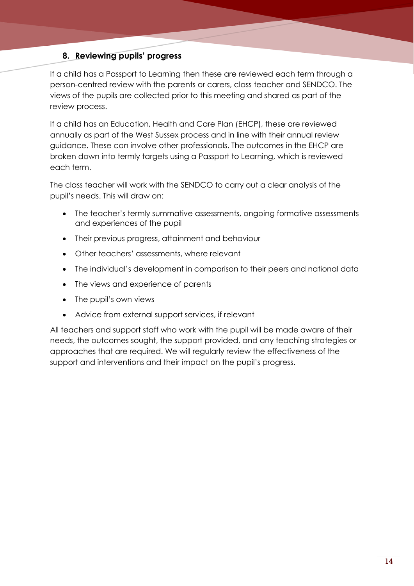#### **8. Reviewing pupils' progress**

If a child has a Passport to Learning then these are reviewed each term through a person-centred review with the parents or carers, class teacher and SENDCO. The views of the pupils are collected prior to this meeting and shared as part of the review process.

If a child has an Education, Health and Care Plan (EHCP), these are reviewed annually as part of the West Sussex process and in line with their annual review guidance. These can involve other professionals. The outcomes in the EHCP are broken down into termly targets using a Passport to Learning, which is reviewed each term.

The class teacher will work with the SENDCO to carry out a clear analysis of the pupil's needs. This will draw on:

- The teacher's termly summative assessments, ongoing formative assessments and experiences of the pupil
- Their previous progress, attainment and behaviour
- Other teachers' assessments, where relevant
- The individual's development in comparison to their peers and national data
- The views and experience of parents
- The pupil's own views
- Advice from external support services, if relevant

All teachers and support staff who work with the pupil will be made aware of their needs, the outcomes sought, the support provided, and any teaching strategies or approaches that are required. We will regularly review the effectiveness of the support and interventions and their impact on the pupil's progress.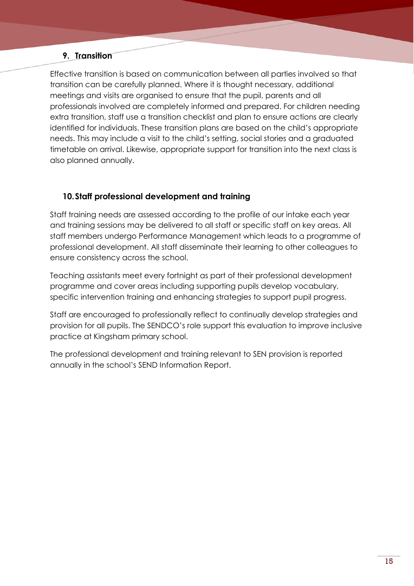#### **9. Transition**

Effective transition is based on communication between all parties involved so that transition can be carefully planned. Where it is thought necessary, additional meetings and visits are organised to ensure that the pupil, parents and all professionals involved are completely informed and prepared. For children needing extra transition, staff use a transition checklist and plan to ensure actions are clearly identified for individuals. These transition plans are based on the child's appropriate needs. This may include a visit to the child's setting, social stories and a graduated timetable on arrival. Likewise, appropriate support for transition into the next class is also planned annually.

#### **10.Staff professional development and training**

Staff training needs are assessed according to the profile of our intake each year and training sessions may be delivered to all staff or specific staff on key areas. All staff members undergo Performance Management which leads to a programme of professional development. All staff disseminate their learning to other colleagues to ensure consistency across the school.

Teaching assistants meet every fortnight as part of their professional development programme and cover areas including supporting pupils develop vocabulary, specific intervention training and enhancing strategies to support pupil progress.

Staff are encouraged to professionally reflect to continually develop strategies and provision for all pupils. The SENDCO's role support this evaluation to improve inclusive practice at Kingsham primary school.

The professional development and training relevant to SEN provision is reported annually in the school's SEND Information Report.